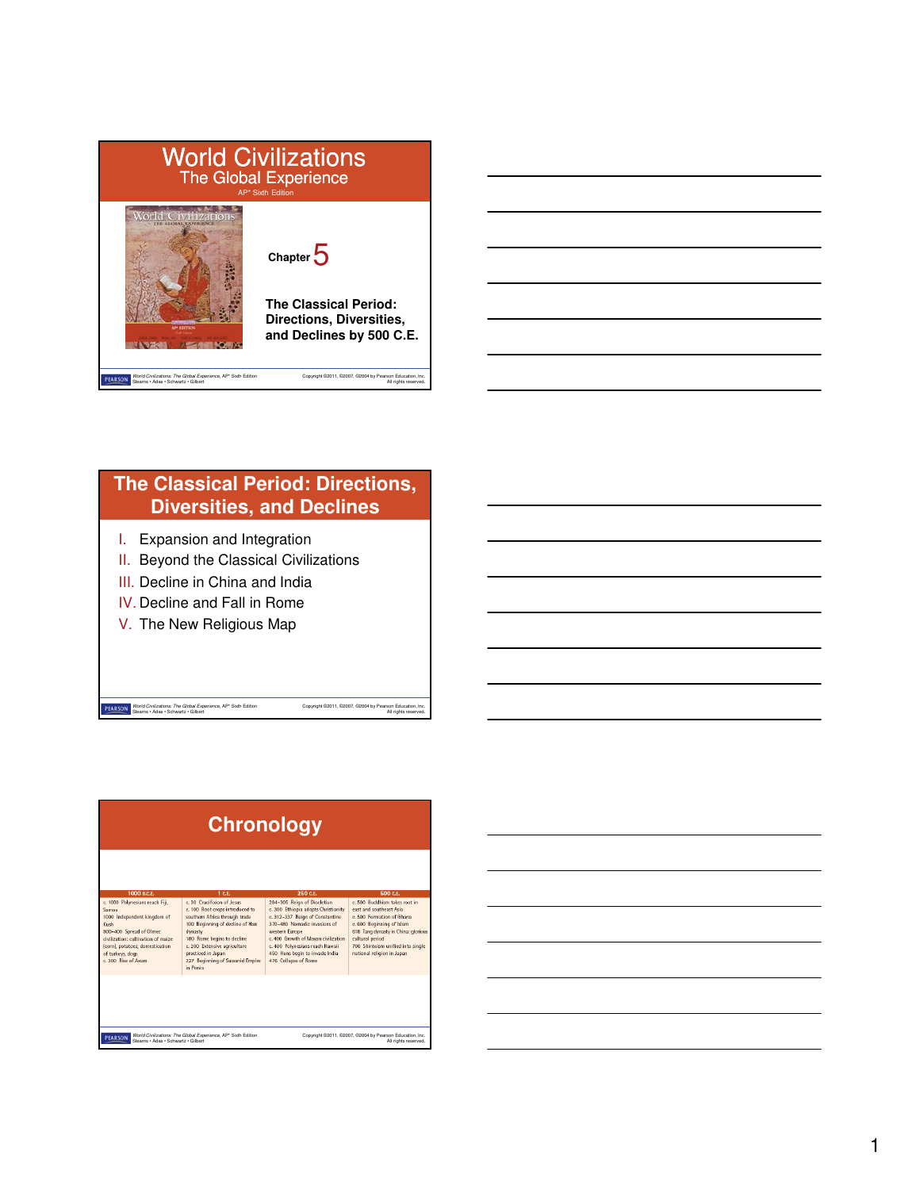



# **The Classical Period: Directions, Diversities, and Declines**

Copyright ©2011, ©2007, ©2004 by Pearson Education, Inc. All rights reserved.

- I. Expansion and Integration
- II. Beyond the Classical Civilizations
- **III.** Decline in China and India
- IV. Decline and Fall in Rome
- V. The New Religious Map

| <b>Chronology</b>                                                                                                                                                                                                                             |                                                                                                                                                                                                                                                                                             |                                                                                                                                                                                                                                                                                                         |                                                                                                                                                                                                                                                            |
|-----------------------------------------------------------------------------------------------------------------------------------------------------------------------------------------------------------------------------------------------|---------------------------------------------------------------------------------------------------------------------------------------------------------------------------------------------------------------------------------------------------------------------------------------------|---------------------------------------------------------------------------------------------------------------------------------------------------------------------------------------------------------------------------------------------------------------------------------------------------------|------------------------------------------------------------------------------------------------------------------------------------------------------------------------------------------------------------------------------------------------------------|
| 1000 B.C.E.<br>c. 1000 Polynesians reach Fiji,<br>Samoa<br>1000 Independent kingdom of<br>Kush<br>800-400 Spread of Olmec<br>civilization: cultivation of maize<br>(corn), potatoes; domestication<br>of turkeys, dogs<br>c. 300 Rise of Axum | 1 C.E.<br>c. 30 Crucifixion of Jesus<br>c. 100 Root crops introduced to<br>southern Africa through trade<br>100 Beginning of decline of Han<br>dynasty<br>180 Rome begins to decline<br>c. 200 Extensive agriculture<br>practiced in Japan<br>227 Beginning of Sassanid Empire<br>in Persia | 250 C.F.<br>284-305 Reign of Diocletian<br>c. 300 Ethiopia adopts Christianity<br>c. 312-337 Reign of Constantine<br>370-480 Nomadie invasions of<br>western Europe<br>c. 400 Growth of Mayan civilization<br>c. 400 Polynesians reach Hawaii<br>450 Huns begin to invade India<br>476 Collapse of Rome | 500 C.F.<br>c. 500 Buddhism takes mot in<br>east and southeast Asia<br>c. 500 Formation of Ghana<br>c. 600 Beginning of Islam<br>618 Tang dynasty in China: glorious<br>cultural period<br>700 Shintoism unified into single<br>national religion in Japan |
| ARSON                                                                                                                                                                                                                                         | World Civilizations: The Global Experience, AP* Sixth Edition                                                                                                                                                                                                                               |                                                                                                                                                                                                                                                                                                         | Copyright @2011, @2007, @2004 by Pearson Education, Inc.                                                                                                                                                                                                   |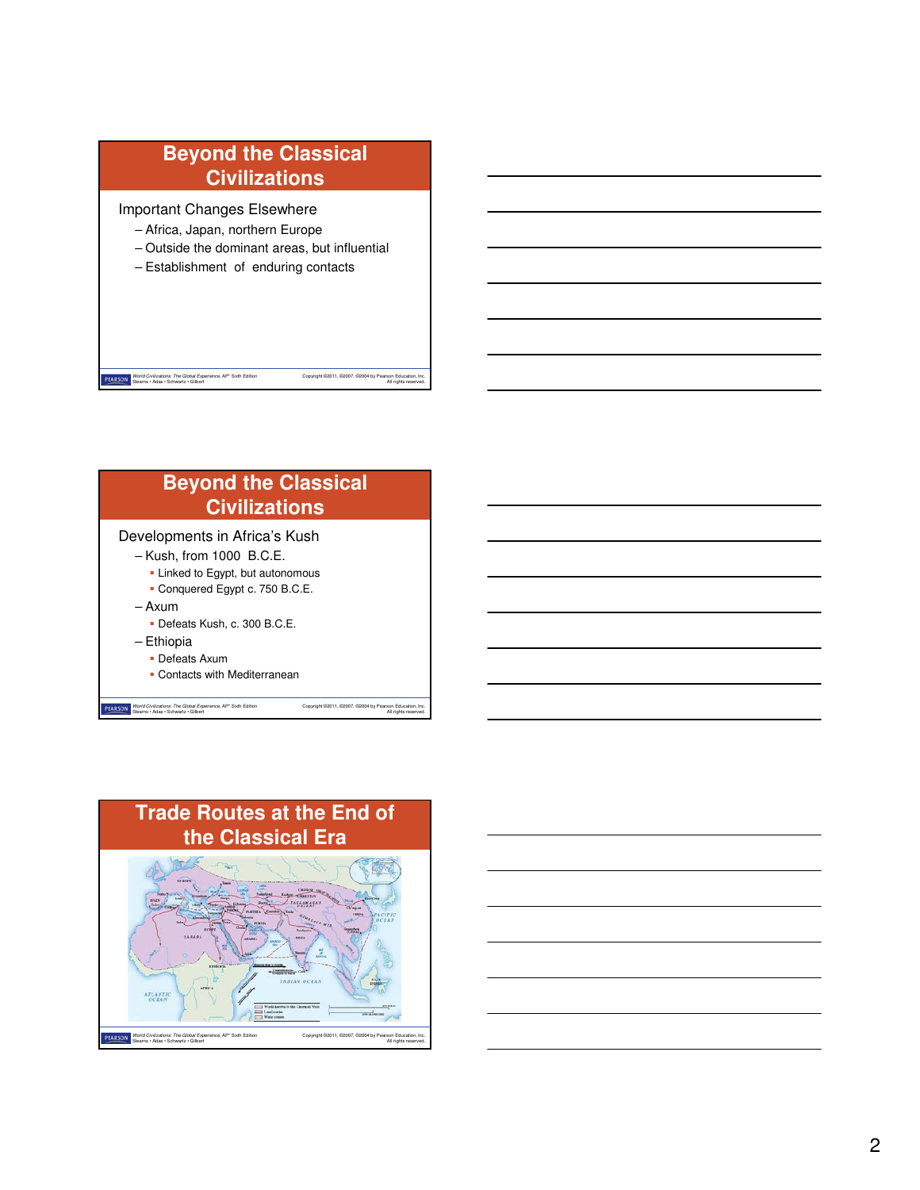# **Beyond the Classical Civilizations**

Important Changes Elsewhere

World Civilizations: The Global Experience, AP\* Sixth Edition Stearns • Adas • Schwartz • Gilbert

- Africa, Japan, northern Europe
- Outside the dominant areas, but influential

Copyright ©2011, ©2007, ©2004 by Pearson Education, Inc. All rights reserved.

– Establishment of enduring contacts



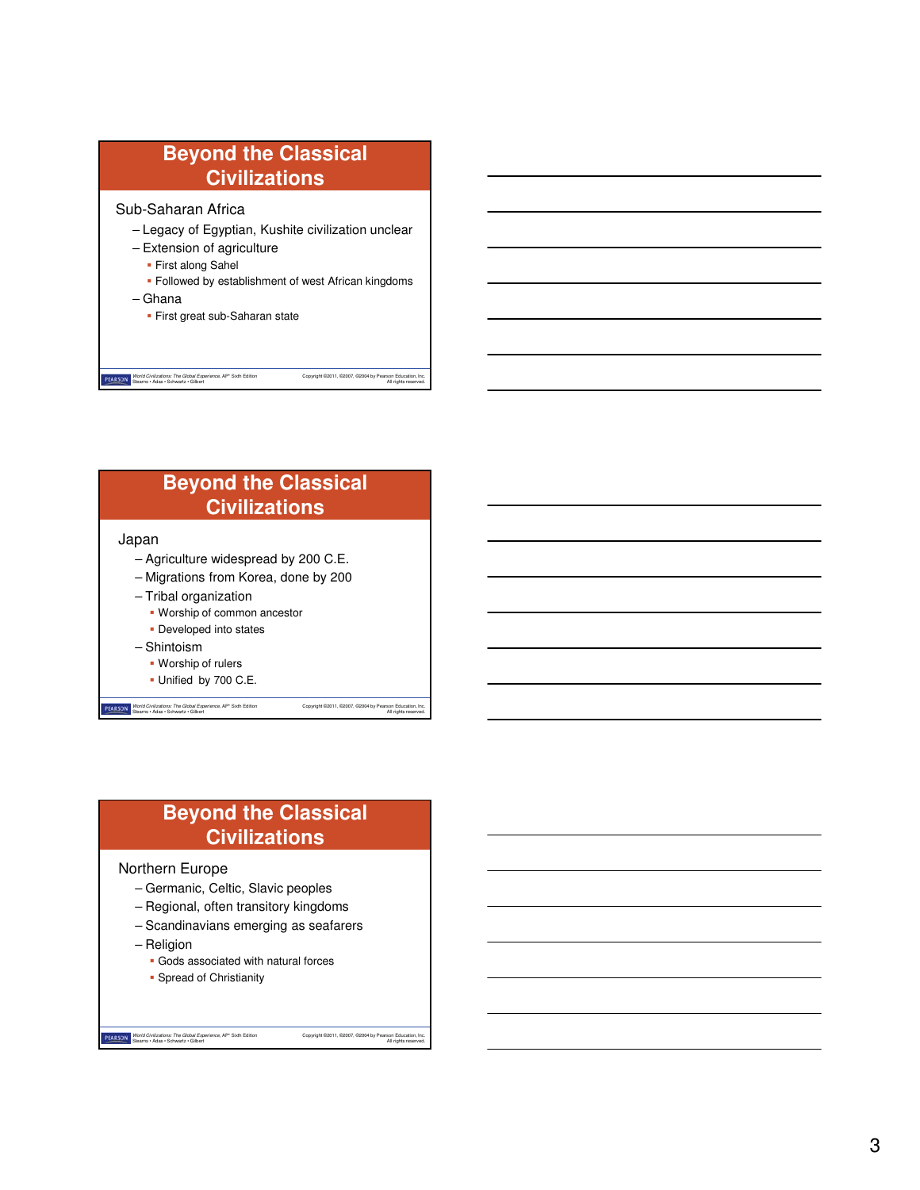### **Beyond the Classical Civilizations** Sub-Saharan Africa – Legacy of Egyptian, Kushite civilization unclear – Extension of agriculture First along Sahel Followed by establishment of west African kingdoms

Copyright ©2011, ©2007, ©2004 by Pearson Education, Inc. All rights reserved.

Copyright ©2011, ©2007, ©2004 by Pearson Education, Inc. All rights reserved.

Copyright ©2011, ©2007, ©2004 by Pearson Education, Inc. All rights reserved.

– Ghana

First great sub-Saharan state

World Civilizations: The Global Experience, AP\* Sixth Edition Stearns • Adas • Schwartz • Gilbert

### **Beyond the Classical Civilizations** Japan – Agriculture widespread by 200 C.E. – Migrations from Korea, done by 200 – Tribal organization Worship of common ancestor Developed into states – Shintoism Worship of rulers

Unified by 700 C.E.

World Civilizations: The Global Experience, AP\* Sixth Edition Stearns • Adas • Schwartz • Gilbert

## **Beyond the Classical Civilizations**

### Northern Europe

- Germanic, Celtic, Slavic peoples
- Regional, often transitory kingdoms
- Scandinavians emerging as seafarers
- Religion
	- Gods associated with natural forces
	- **Spread of Christianity**

World Civilizations: The Global Experience, AP\* Sixth Edition Stearns • Adas • Schwartz • Gilbert

3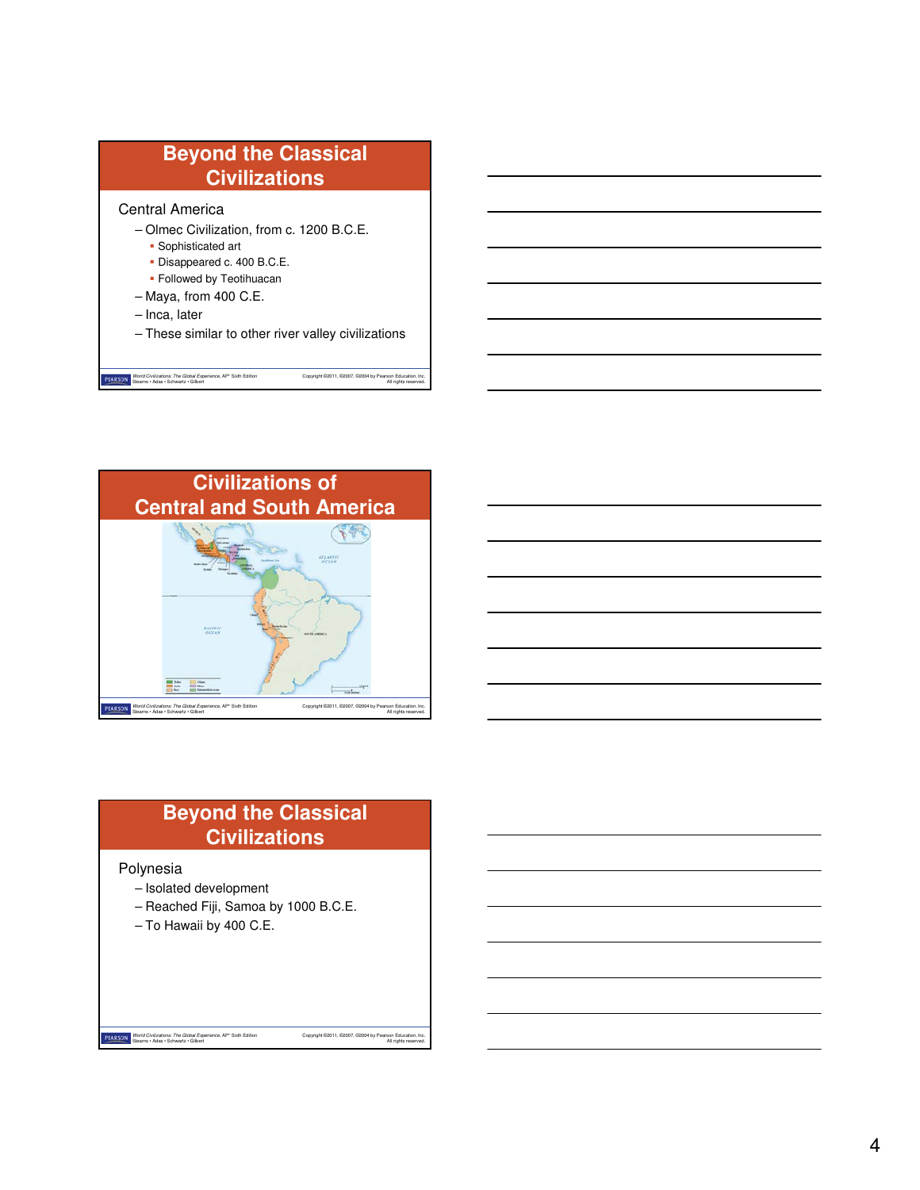# **Beyond the Classical Civilizations**

### Central America

- Olmec Civilization, from c. 1200 B.C.E.
	- **Sophisticated art**
	- Disappeared c. 400 B.C.E.
	- **Followed by Teotihuacan**
- Maya, from 400 C.E.

World Civilizations: The Global Experience, AP\* Sixth Edition Stearns • Adas • Schwartz • Gilbert

- Inca, later
- These similar to other river valley civilizations

Copyright ©2011, ©2007, ©2004 by Pearson Education, Inc. All rights reserved.

Copyright ©2011, ©2007, ©2004 by Pearson Education, Inc. All rights reserved.



# **Beyond the Classical Civilizations**

### Polynesia

- Isolated development
- Reached Fiji, Samoa by 1000 B.C.E.
- To Hawaii by 400 C.E.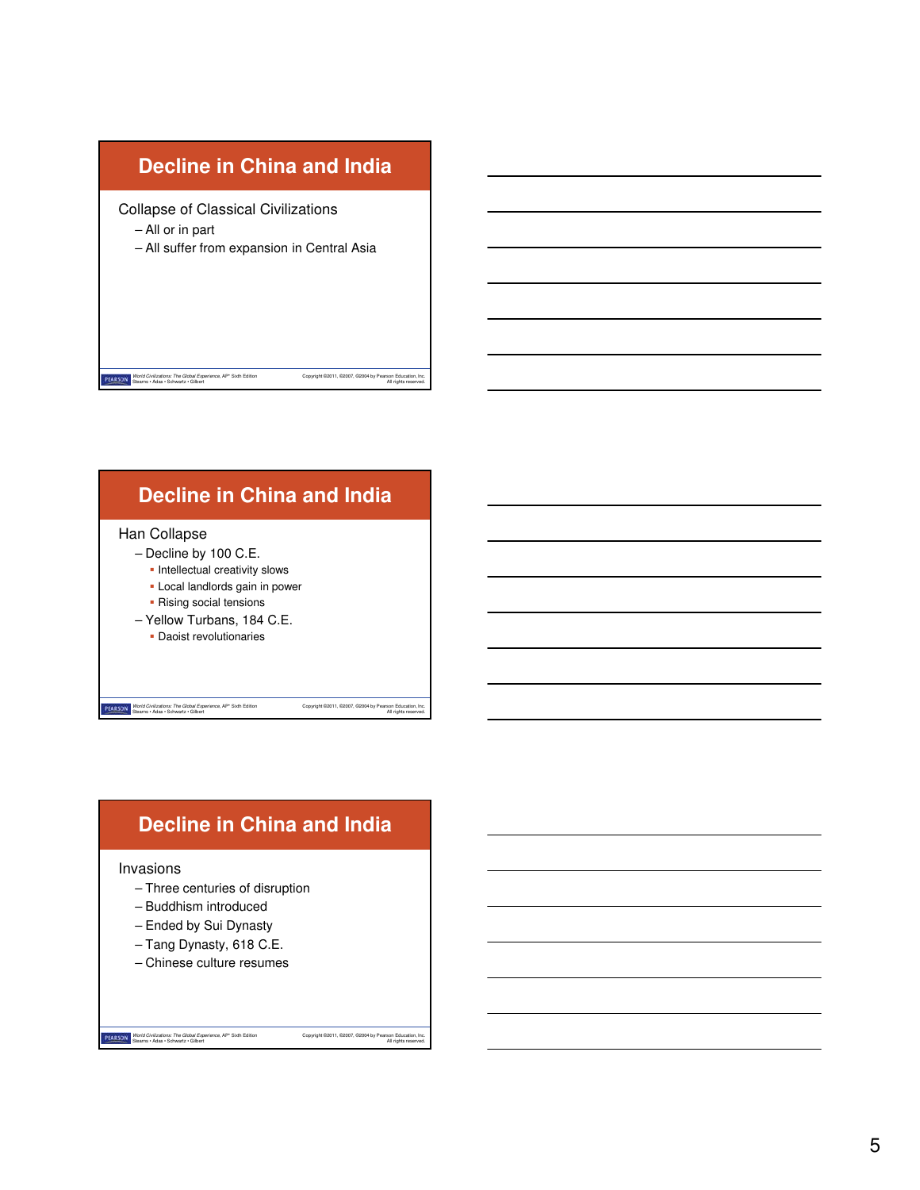# **Decline in China and India**

Collapse of Classical Civilizations

- All or in part
- All suffer from expansion in Central Asia

# **Decline in China and India**

Copyright ©2011, ©2007, ©2004 by Pearson Education, Inc. All rights reserved.

Copyright ©2011, ©2007, ©2004 by Pearson Education, Inc. All rights reserved.

Copyright ©2011, ©2007, ©2004 by Pearson Education, Inc. All rights reserved.

### Han Collapse

– Decline by 100 C.E.

World Civilizations: The Global Experience, AP\* Sixth Edition Stearns • Adas • Schwartz • Gilbert

- **-** Intellectual creativity slows
- Local landlords gain in power
- **Rising social tensions**
- Yellow Turbans, 184 C.E. Daoist revolutionaries

World Civilizations: The Global Experience, AP\* Sixth Edition Stearns • Adas • Schwartz • Gilbert

# **Decline in China and India**

### Invasions

- Three centuries of disruption
- Buddhism introduced
- Ended by Sui Dynasty
- Tang Dynasty, 618 C.E.
- Chinese culture resumes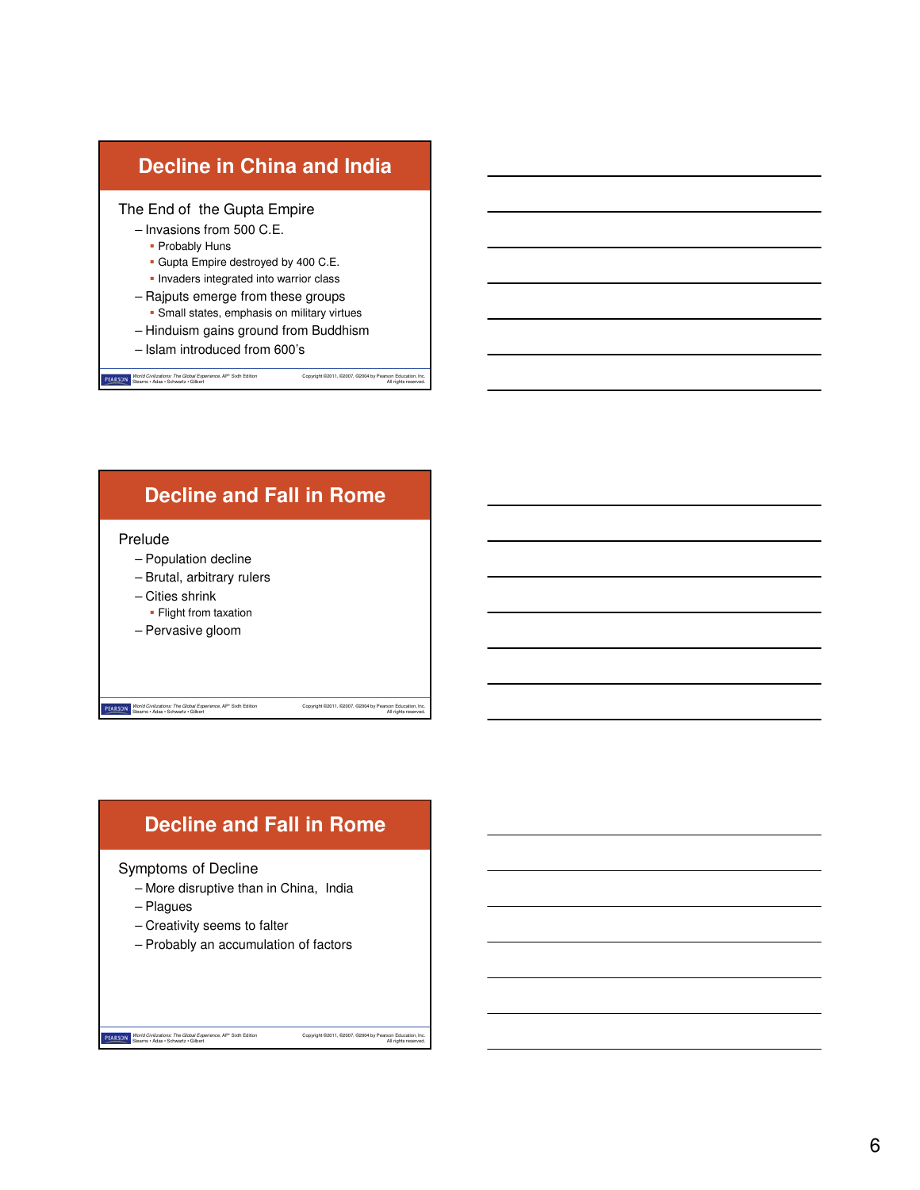





### Symptoms of Decline

- More disruptive than in China, India
- Plagues
- Creativity seems to falter

World Civilizations: The Global Experience, AP\* Sixth Edition Stearns • Adas • Schwartz • Gilbert

– Probably an accumulation of factors

Copyright ©2011, ©2007, ©2004 by Pearson Education, Inc. All rights reserved.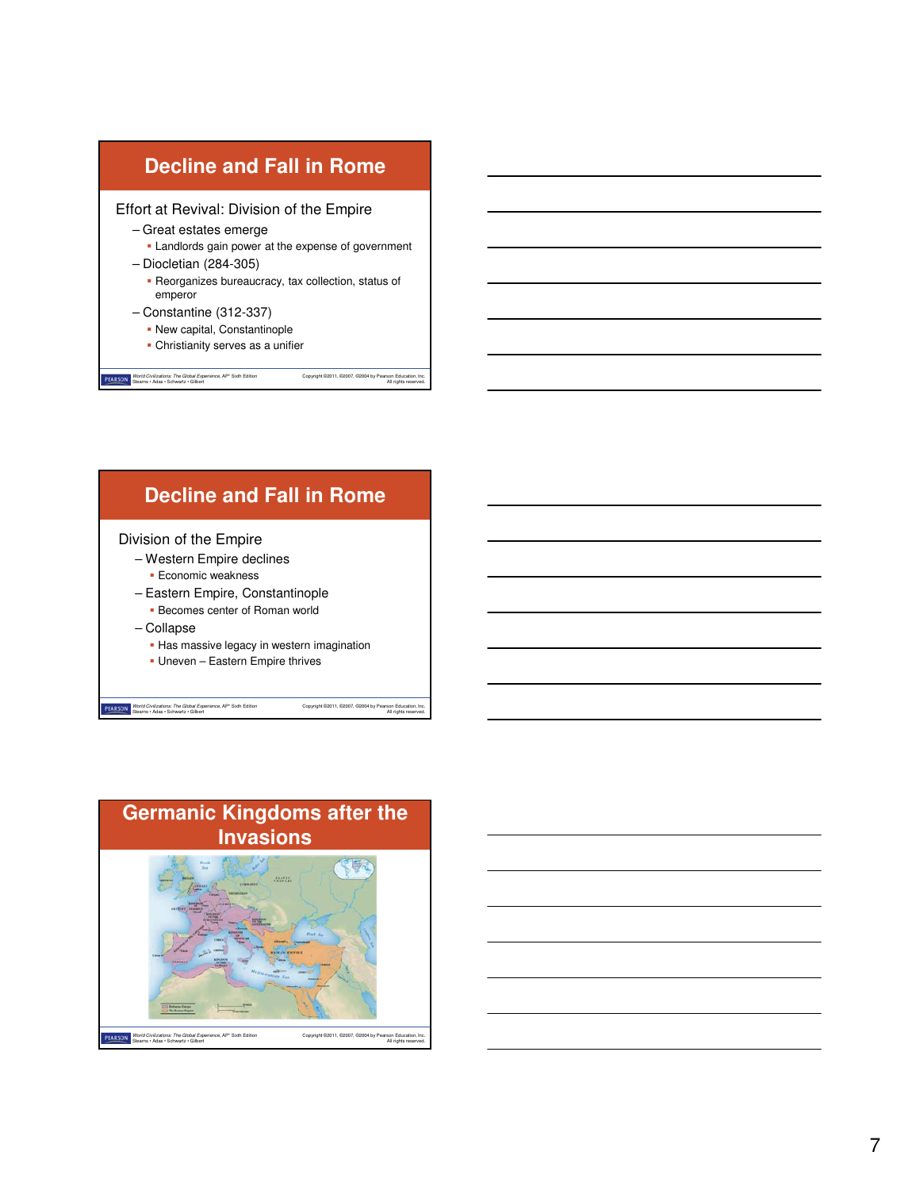

# **Decline and Fall in Rome**

### Division of the Empire

- Western Empire declines
	- **Economic weakness**
- Eastern Empire, Constantinople
- Becomes center of Roman world
- Collapse
	- **Has massive legacy in western imagination**

Copyright ©2011, ©2007, ©2004 by Pearson Education, Inc. All rights reserved.

Uneven – Eastern Empire thrives

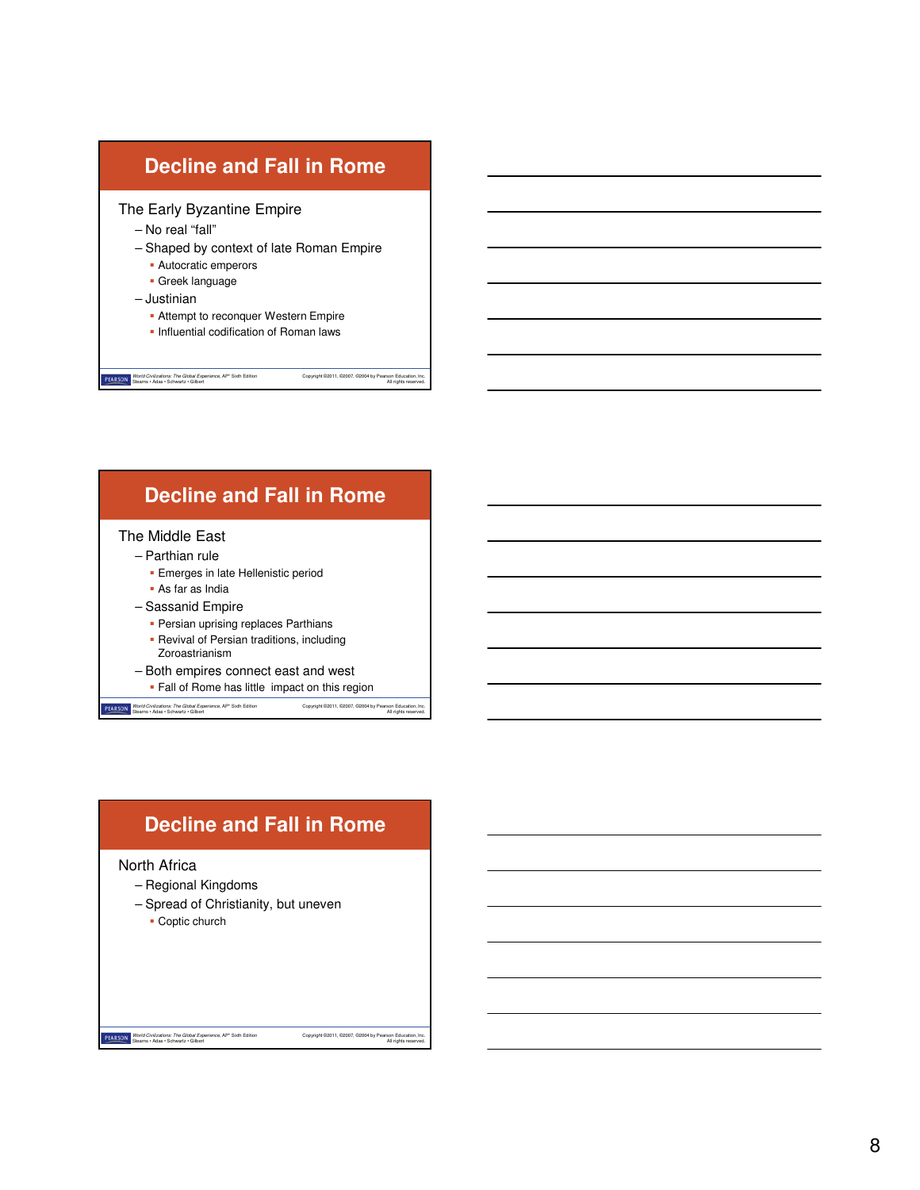

# **Decline and Fall in Rome**

### The Middle East

- Parthian rule
	- **Emerges in late Hellenistic period**
	- As far as India
- Sassanid Empire
	- **Persian uprising replaces Parthians**
	- **Revival of Persian traditions, including** Zoroastrianism
- Both empires connect east and west
	- **Fall of Rome has little impact on this region**

Copyright ©2011, ©2007, ©2004 by Pearson Education, Inc. All rights reserved. World Civilizations: The Global Experience, AP\* Sixth Edition Stearns • Adas • Schwartz • Gilbert

# **Decline and Fall in Rome**

Copyright ©2011, ©2007, ©2004 by Pearson Education, Inc. All rights reserved.

### North Africa

– Regional Kingdoms

World Civilizations: The Global Experience, AP\* Sixth Edition Stearns • Adas • Schwartz • Gilbert

- Spread of Christianity, but uneven
	- **Coptic church**

8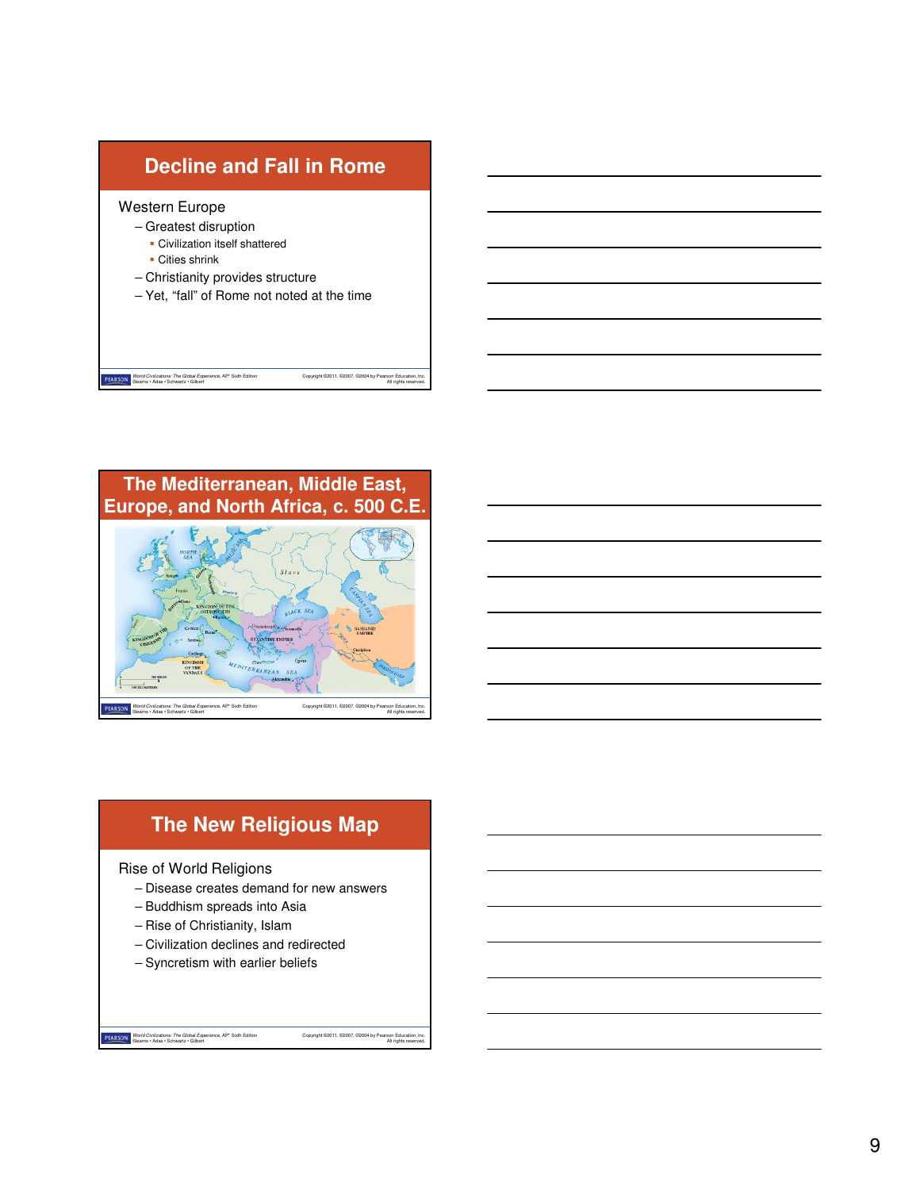

### **The Mediterranean, Middle East, Europe, and North Africa, c. 500 C.E.**



# **The New Religious Map**

### Rise of World Religions

– Disease creates demand for new answers

Copyright ©2011, ©2007, ©2004 by Pearson Education, Inc. All rights reserved.

- Buddhism spreads into Asia
- Rise of Christianity, Islam
- Civilization declines and redirected
- Syncretism with earlier beliefs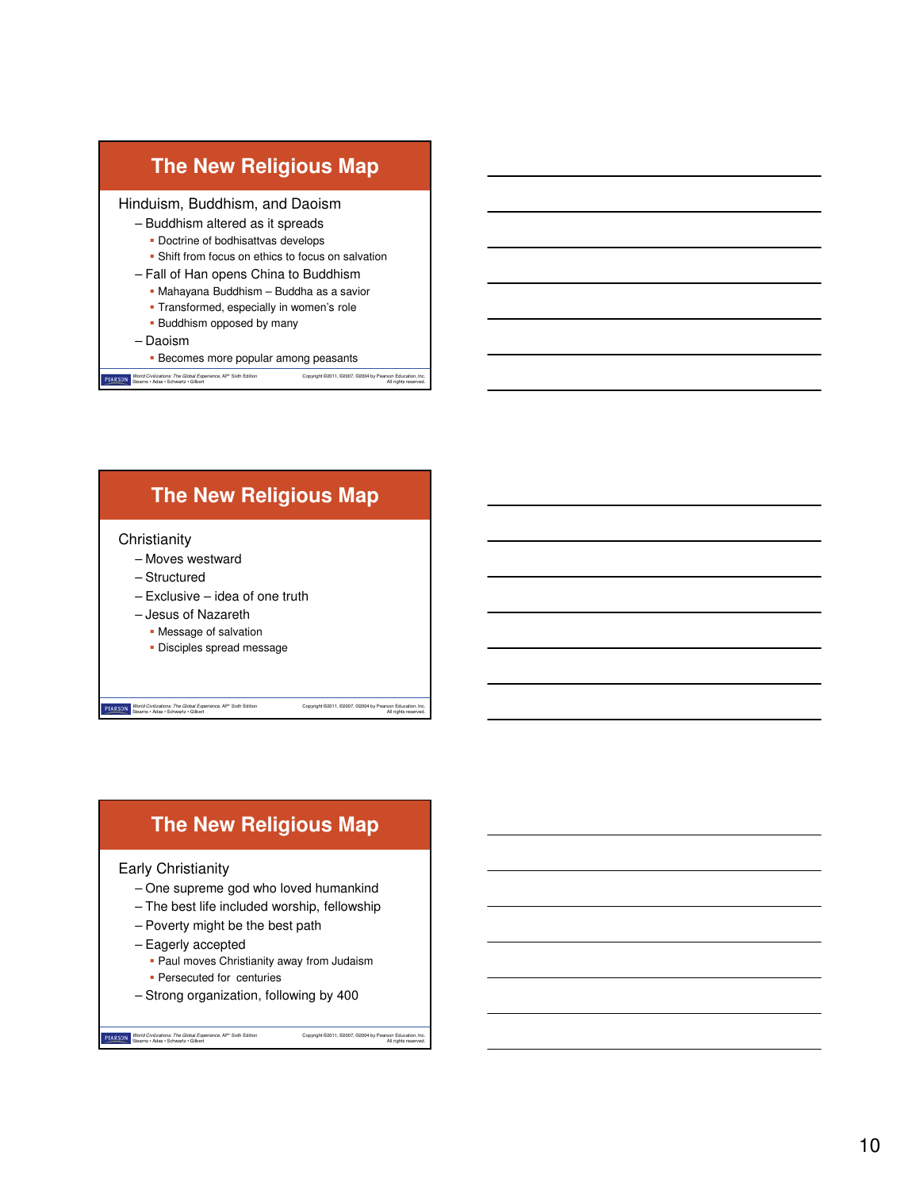

### **The New Religious Map**

### **Christianity**

- Moves westward
- Structured
- Exclusive idea of one truth
- Jesus of Nazareth
	- **Message of salvation**
	- Disciples spread message

World Civilizations: The Global Experience, AP\* Sixth Edition Stearns • Adas • Schwartz • Gilbert

## **The New Religious Map**

Copyright ©2011, ©2007, ©2004 by Pearson Education, Inc. All rights reserved.

Copyright ©2011, ©2007, ©2004 by Pearson Education, Inc. All rights reserved.

### Early Christianity

- One supreme god who loved humankind
- The best life included worship, fellowship
- Poverty might be the best path
- Eagerly accepted

- **Paul moves Christianity away from Judaism**
- **Persecuted for centuries**
- Strong organization, following by 400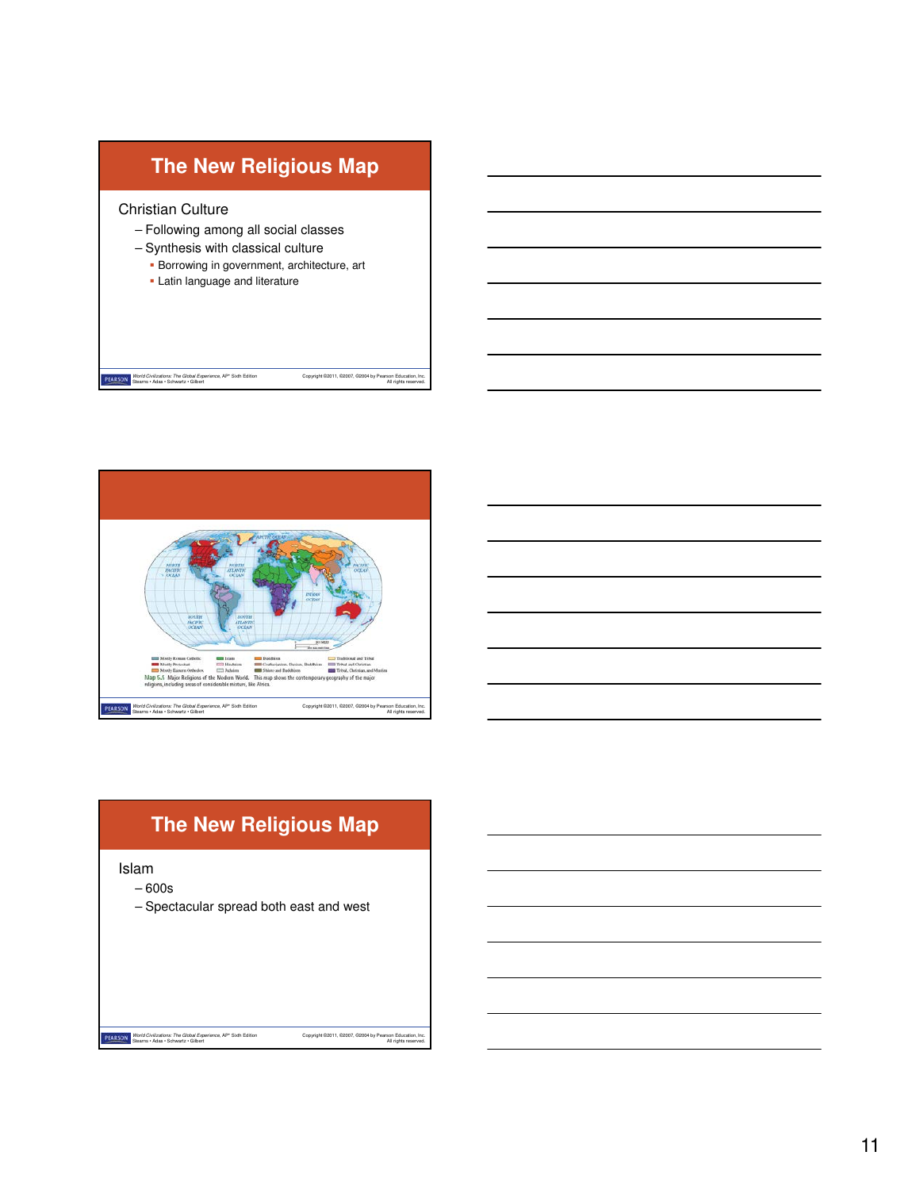



# **The New Religious Map**

Islam

– 600s

World Civilizations: The Global Experience, AP\* Sixth Edition Stearns • Adas • Schwartz • Gilbert

– Spectacular spread both east and west

Copyright ©2011, ©2007, ©2004 by Pearson Education, Inc. All rights reserved.